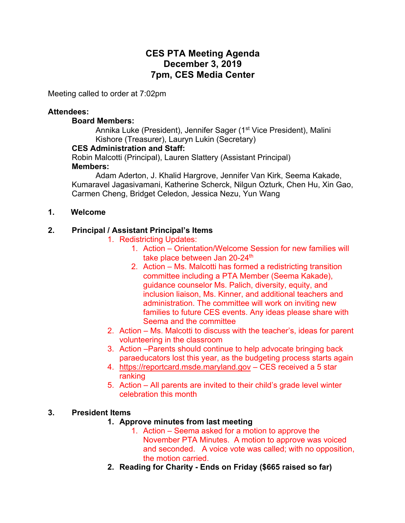# **CES PTA Meeting Agenda December 3, 2019 7pm, CES Media Center**

Meeting called to order at 7:02pm

#### **Attendees:**

#### **Board Members:**

Annika Luke (President), Jennifer Sager (1<sup>st</sup> Vice President), Malini Kishore (Treasurer), Lauryn Lukin (Secretary)

### **CES Administration and Staff:**

Robin Malcotti (Principal), Lauren Slattery (Assistant Principal)

### **Members:**

Adam Aderton, J. Khalid Hargrove, Jennifer Van Kirk, Seema Kakade, Kumaravel Jagasivamani, Katherine Scherck, Nilgun Ozturk, Chen Hu, Xin Gao, Carmen Cheng, Bridget Celedon, Jessica Nezu, Yun Wang

### **1. Welcome**

### **2. Principal / Assistant Principal's Items**

1. Redistricting Updates:

- 1. Action Orientation/Welcome Session for new families will take place between Jan 20-24<sup>th</sup>
- 2. Action Ms. Malcotti has formed a redistricting transition committee including a PTA Member (Seema Kakade), guidance counselor Ms. Palich, diversity, equity, and inclusion liaison, Ms. Kinner, and additional teachers and administration. The committee will work on inviting new families to future CES events. Any ideas please share with Seema and the committee
- 2. Action Ms. Malcotti to discuss with the teacher's, ideas for parent volunteering in the classroom
- 3. Action –Parents should continue to help advocate bringing back paraeducators lost this year, as the budgeting process starts again
- 4. https://reportcard.msde.maryland.gov CES received a 5 star ranking
- 5. Action All parents are invited to their child's grade level winter celebration this month

### **3. President Items**

- **1. Approve minutes from last meeting**
	- 1. Action Seema asked for a motion to approve the November PTA Minutes. A motion to approve was voiced and seconded. A voice vote was called; with no opposition, the motion carried.
- **2. Reading for Charity - Ends on Friday (\$665 raised so far)**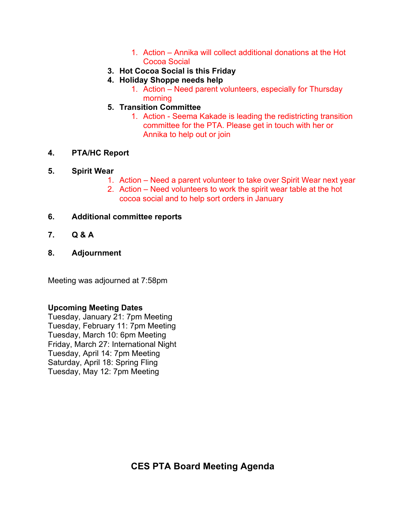- 1. Action Annika will collect additional donations at the Hot Cocoa Social
- **3. Hot Cocoa Social is this Friday**
- **4. Holiday Shoppe needs help**
	- 1. Action Need parent volunteers, especially for Thursday morning
- **5. Transition Committee**
	- 1. Action Seema Kakade is leading the redistricting transition committee for the PTA. Please get in touch with her or Annika to help out or join

## **4. PTA/HC Report**

### **5. Spirit Wear**

- 1. Action Need a parent volunteer to take over Spirit Wear next year
- 2. Action Need volunteers to work the spirit wear table at the hot cocoa social and to help sort orders in January

### **6. Additional committee reports**

- **7. Q & A**
- **8. Adjournment**

Meeting was adjourned at 7:58pm

## **Upcoming Meeting Dates**

Tuesday, January 21: 7pm Meeting Tuesday, February 11: 7pm Meeting Tuesday, March 10: 6pm Meeting Friday, March 27: International Night Tuesday, April 14: 7pm Meeting Saturday, April 18: Spring Fling Tuesday, May 12: 7pm Meeting